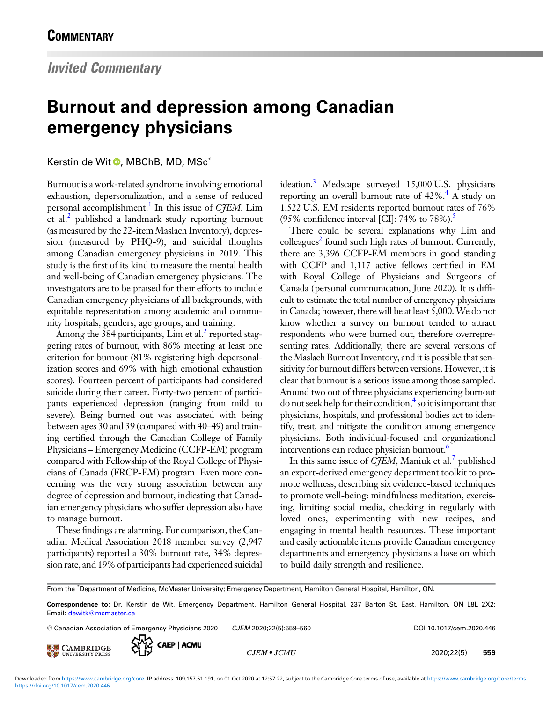## Burnout and depression among Canadian emergency physicians

## Kerstin de Wit D[,](https://orcid.org/0000-0003-2763-6474) MBChB, MD, MSc<sup>\*</sup>

Burnout is a work-related syndrome involving emotional exhaustion, depersonalization, and a sense of reduced personal accomplishment.<sup>1</sup> In this issue of  $C\bar{\mathcal{F}}EM$ , Lim et al.<sup>[2](#page-1-0)</sup> published a landmark study reporting burnout (as measured by the 22-item Maslach Inventory), depression (measured by PHQ-9), and suicidal thoughts among Canadian emergency physicians in 2019. This study is the first of its kind to measure the mental health and well-being of Canadian emergency physicians. The investigators are to be praised for their efforts to include Canadian emergency physicians of all backgrounds, with equitable representation among academic and community hospitals, genders, age groups, and training.

Among the 384 participants, Lim et al. $\frac{1}{2}$  reported staggering rates of burnout, with 86% meeting at least one criterion for burnout (81% registering high depersonalization scores and 69% with high emotional exhaustion scores). Fourteen percent of participants had considered suicide during their career. Forty-two percent of participants experienced depression (ranging from mild to severe). Being burned out was associated with being between ages 30 and 39 (compared with 40–49) and training certified through the Canadian College of Family Physicians – Emergency Medicine (CCFP-EM) program compared with Fellowship of the Royal College of Physicians of Canada (FRCP-EM) program. Even more concerning was the very strong association between any degree of depression and burnout, indicating that Canadian emergency physicians who suffer depression also have to manage burnout.

These findings are alarming. For comparison, the Canadian Medical Association 2018 member survey (2,947 participants) reported a 30% burnout rate, 34% depression rate, and 19% of participants had experienced suicidal ideation.<sup>[3](#page-1-0)</sup> Medscape surveyed 15,000 U.S. physicians reporting an overall burnout rate of  $42\%$  $42\%$ .<sup>4</sup> A study on 1,522 U.S. EM residents reported burnout rates of 76% (95% confidence interval [CI]: 74% to 78%).<sup>5</sup>

There could be several explanations why Lim and  $\text{collegues}^2$  found such high rates of burnout. Currently, there are 3,396 CCFP-EM members in good standing with CCFP and 1,117 active fellows certified in EM with Royal College of Physicians and Surgeons of Canada (personal communication, June 2020). It is difficult to estimate the total number of emergency physicians in Canada; however, there will be at least 5,000.We do not know whether a survey on burnout tended to attract respondents who were burned out, therefore overrepresenting rates. Additionally, there are several versions of the Maslach Burnout Inventory, and it is possible that sensitivity for burnout differs between versions. However, it is clear that burnout is a serious issue among those sampled. Around two out of three physicians experiencing burnout do not seek help for their condition, $\frac{4}{3}$  so it is important that physicians, hospitals, and professional bodies act to identify, treat, and mitigate the condition among emergency physicians. Both individual-focused and organizational interventions can reduce physician burnout.<sup>[6](#page-1-0)</sup>

In this same issue of  $C\bar{\jmath}EM$ , Maniuk et al. $\ell$  published an expert-derived emergency department toolkit to promote wellness, describing six evidence-based techniques to promote well-being: mindfulness meditation, exercising, limiting social media, checking in regularly with loved ones, experimenting with new recipes, and engaging in mental health resources. These important and easily actionable items provide Canadian emergency departments and emergency physicians a base on which to build daily strength and resilience.

From the \* Department of Medicine, McMaster University; Emergency Department, Hamilton General Hospital, Hamilton, ON.

 $\circledcirc$  Canadian Association of Emergency Physicians 2020  $CIEM$  2020;22(5):559–560 DOI 10.1017/cem.2020.446





CJEM • JCMU 2020;22(5) 559

Correspondence to: Dr. Kerstin de Wit, Emergency Department, Hamilton General Hospital, 237 Barton St. East, Hamilton, ON L8L 2X2; Email: [dewitk@mcmaster.ca](mailto:dewitk@mcmaster.ca)